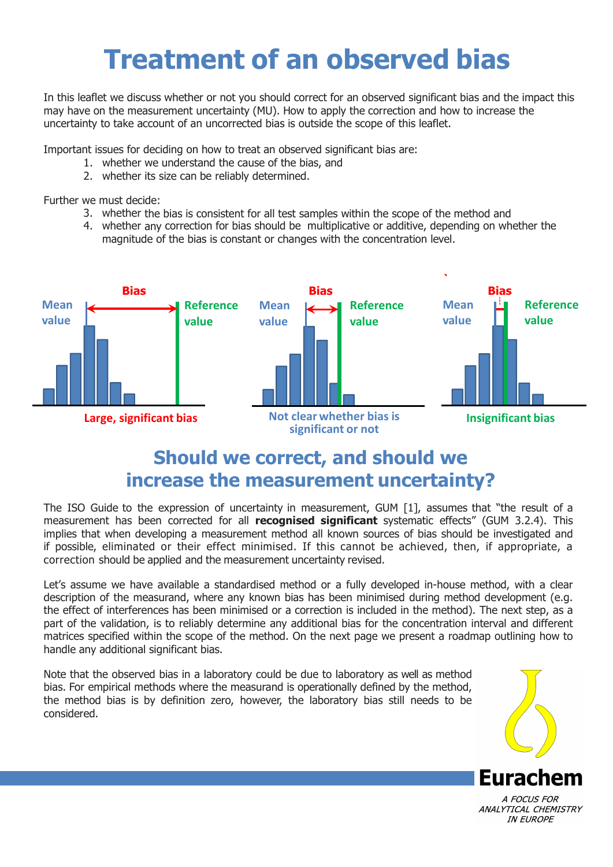## **Treatment of an observed bias**

In this leaflet we discuss whether or not you should correct for an observed significant bias and the impact this may have on the measurement uncertainty (MU). How to apply the correction and how to increase the uncertainty to take account of an uncorrected bias is outside the scope of this leaflet.

Important issues for deciding on how to treat an observed significant bias are:

- 1. whether we understand the cause of the bias, and
- 2. whether its size can be reliably determined.

Further we must decide:

- 3. whether the bias is consistent for all test samples within the scope of the method and
- 4. whether any correction for bias should be multiplicative or additive, depending on whether the magnitude of the bias is constant or changes with the concentration level.



## **Should we correct, and should we increase the measurement uncertainty?**

The ISO Guide to the expression of uncertainty in measurement, GUM [1], assumes that "the result of a measurement has been corrected for all **recognised significant** systematic effects" (GUM 3.2.4). This implies that when developing a measurement method all known sources of bias should be investigated and if possible, eliminated or their effect minimised. If this cannot be achieved, then, if appropriate, a correction should be applied and the measurement uncertainty revised.

Let's assume we have available a standardised method or a fully developed in-house method, with a clear description of the measurand, where any known bias has been minimised during method development (e.g. the effect of interferences has been minimised or a correction is included in the method). The next step, as a part of the validation, is to reliably determine any additional bias for the concentration interval and different matrices specified within the scope of the method. On the next page we present a roadmap outlining how to handle any additional significant bias.

Note that the observed bias in a laboratory could be due to laboratory as well as method bias. For empirical methods where the measurand is operationally defined by the method, the method bias is by definition zero, however, the laboratory bias still needs to be considered.